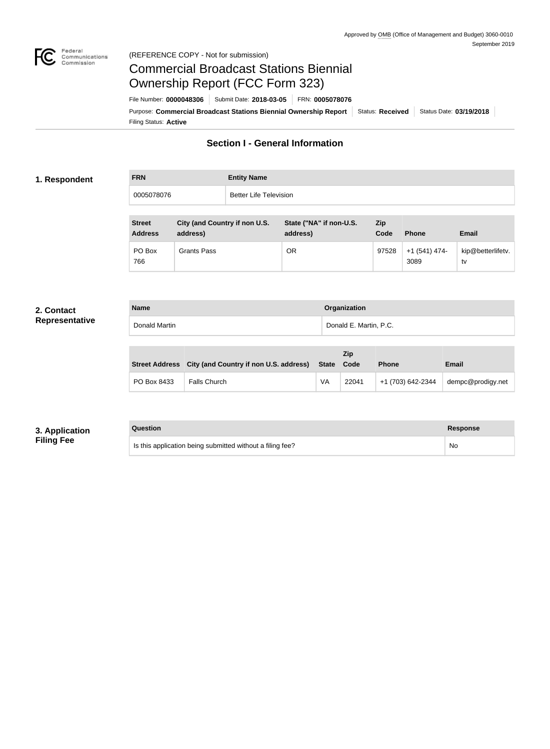

### Federal<br>Communications<br>Commission (REFERENCE COPY - Not for submission)

# Commercial Broadcast Stations Biennial Ownership Report (FCC Form 323)

**Name Organization**

Filing Status: **Active** Purpose: Commercial Broadcast Stations Biennial Ownership Report Status: Received Status Date: 03/19/2018 File Number: **0000048306** Submit Date: **2018-03-05** FRN: **0005078076**

## **Section I - General Information**

#### **1. Respondent**

| <b>FRN</b> | <b>Entity Name</b>     |
|------------|------------------------|
| 0005078076 | Better Life Television |

| <b>Street</b><br><b>Address</b> | City (and Country if non U.S.<br>address) | State ("NA" if non-U.S.<br>address) | <b>Zip</b><br>Code | <b>Phone</b>           | <b>Email</b>            |
|---------------------------------|-------------------------------------------|-------------------------------------|--------------------|------------------------|-------------------------|
| PO Box<br>766                   | Grants Pass                               | OR                                  | 97528              | $+1(541)$ 474-<br>3089 | kip@betterlifetv.<br>tv |

#### **2. Contact Representative**

| Donald Martin |                                                       |              | Donald E. Martin, P.C. |              |              |  |
|---------------|-------------------------------------------------------|--------------|------------------------|--------------|--------------|--|
|               |                                                       |              | Zip                    |              |              |  |
|               | Street Address City (and Country if non U.S. address) | <b>State</b> | Code                   | <b>Phone</b> | <b>Email</b> |  |

|             | Street Address City (and Country if non U.S. address) State Code |    |       | <b>Phone</b>      | Email             |
|-------------|------------------------------------------------------------------|----|-------|-------------------|-------------------|
| PO Box 8433 | <b>Falls Church</b>                                              | VA | 22041 | +1 (703) 642-2344 | dempc@prodigy.net |

## **3. Application Filing Fee**

#### **Question Response**

Is this application being submitted without a filing fee? <br>
No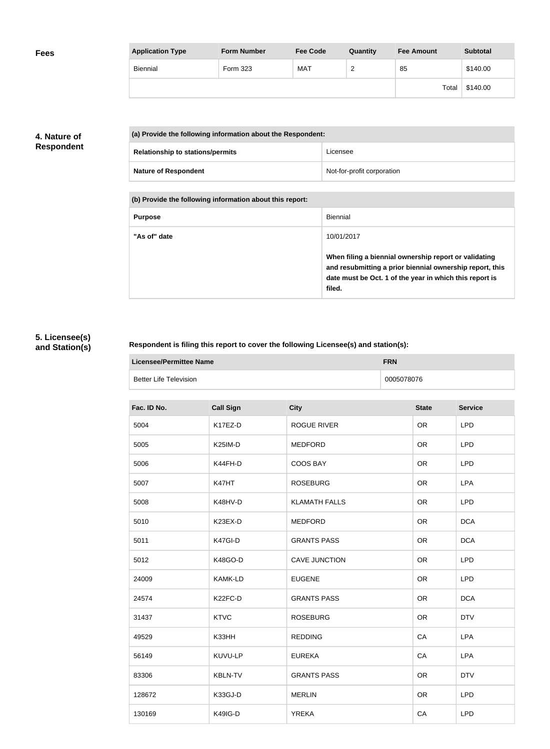| <b>Fees</b> | <b>Application Type</b> | <b>Form Number</b> | <b>Fee Code</b> | Quantity | <b>Fee Amount</b> | <b>Subtotal</b> |
|-------------|-------------------------|--------------------|-----------------|----------|-------------------|-----------------|
|             | Biennial                | Form 323           | <b>MAT</b>      | ◠<br>∼   | 85                | \$140.00        |
|             |                         |                    |                 |          | Total             | \$140.00        |

## **4. Nature of Respondent**

| (a) Provide the following information about the Respondent: |                            |  |
|-------------------------------------------------------------|----------------------------|--|
| <b>Relationship to stations/permits</b>                     | Licensee                   |  |
| <b>Nature of Respondent</b>                                 | Not-for-profit corporation |  |

**(b) Provide the following information about this report:**

| <b>Purpose</b> | Biennial                                                                                                                                                                               |
|----------------|----------------------------------------------------------------------------------------------------------------------------------------------------------------------------------------|
| "As of" date   | 10/01/2017                                                                                                                                                                             |
|                | When filing a biennial ownership report or validating<br>and resubmitting a prior biennial ownership report, this<br>date must be Oct. 1 of the year in which this report is<br>filed. |

## **5. Licensee(s) and Station(s)**

## **Respondent is filing this report to cover the following Licensee(s) and station(s):**

| Licensee/Permittee Name | <b>FRN</b> |
|-------------------------|------------|
| Better Life Television  | 0005078076 |

| Fac. ID No. | <b>Call Sign</b> | <b>City</b>          | <b>State</b> | <b>Service</b> |
|-------------|------------------|----------------------|--------------|----------------|
| 5004        | K17EZ-D          | ROGUE RIVER          | <b>OR</b>    | <b>LPD</b>     |
| 5005        | K25IM-D          | <b>MEDFORD</b>       | <b>OR</b>    | <b>LPD</b>     |
| 5006        | K44FH-D          | COOS BAY             | <b>OR</b>    | <b>LPD</b>     |
| 5007        | K47HT            | <b>ROSEBURG</b>      | <b>OR</b>    | <b>LPA</b>     |
| 5008        | K48HV-D          | <b>KLAMATH FALLS</b> | <b>OR</b>    | <b>LPD</b>     |
| 5010        | K23EX-D          | <b>MEDFORD</b>       | <b>OR</b>    | <b>DCA</b>     |
| 5011        | K47GI-D          | <b>GRANTS PASS</b>   | <b>OR</b>    | <b>DCA</b>     |
| 5012        | K48GO-D          | <b>CAVE JUNCTION</b> | <b>OR</b>    | <b>LPD</b>     |
| 24009       | <b>KAMK-LD</b>   | <b>EUGENE</b>        | <b>OR</b>    | <b>LPD</b>     |
| 24574       | K22FC-D          | <b>GRANTS PASS</b>   | <b>OR</b>    | <b>DCA</b>     |
| 31437       | <b>KTVC</b>      | <b>ROSEBURG</b>      | <b>OR</b>    | <b>DTV</b>     |
| 49529       | K33HH            | <b>REDDING</b>       | CA           | <b>LPA</b>     |
| 56149       | KUVU-LP          | <b>EUREKA</b>        | CA           | <b>LPA</b>     |
| 83306       | <b>KBLN-TV</b>   | <b>GRANTS PASS</b>   | <b>OR</b>    | <b>DTV</b>     |
| 128672      | K33GJ-D          | <b>MERLIN</b>        | <b>OR</b>    | <b>LPD</b>     |
| 130169      | K49IG-D          | <b>YREKA</b>         | CA           | <b>LPD</b>     |
|             |                  |                      |              |                |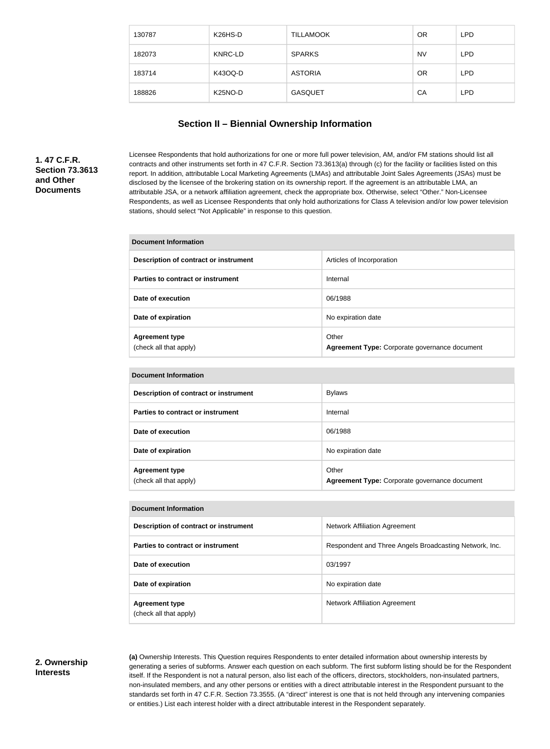| 130787 | K <sub>26</sub> H <sub>S</sub> -D | <b>TILLAMOOK</b> | <b>OR</b> | <b>LPD</b> |
|--------|-----------------------------------|------------------|-----------|------------|
| 182073 | <b>KNRC-LD</b>                    | <b>SPARKS</b>    | <b>NV</b> | <b>LPD</b> |
| 183714 | K43OQ-D                           | <b>ASTORIA</b>   | <b>OR</b> | <b>LPD</b> |
| 188826 | K <sub>25</sub> NO-D              | <b>GASQUET</b>   | CA        | <b>LPD</b> |

## **Section II – Biennial Ownership Information**

## **1. 47 C.F.R. Section 73.3613 and Other Documents**

Licensee Respondents that hold authorizations for one or more full power television, AM, and/or FM stations should list all contracts and other instruments set forth in 47 C.F.R. Section 73.3613(a) through (c) for the facility or facilities listed on this report. In addition, attributable Local Marketing Agreements (LMAs) and attributable Joint Sales Agreements (JSAs) must be disclosed by the licensee of the brokering station on its ownership report. If the agreement is an attributable LMA, an attributable JSA, or a network affiliation agreement, check the appropriate box. Otherwise, select "Other." Non-Licensee Respondents, as well as Licensee Respondents that only hold authorizations for Class A television and/or low power television stations, should select "Not Applicable" in response to this question.

#### **Document Information**

| Description of contract or instrument           | Articles of Incorporation                              |
|-------------------------------------------------|--------------------------------------------------------|
| Parties to contract or instrument               | Internal                                               |
| Date of execution                               | 06/1988                                                |
| Date of expiration                              | No expiration date                                     |
| <b>Agreement type</b><br>(check all that apply) | Other<br>Agreement Type: Corporate governance document |

#### **Document Information**

| Description of contract or instrument           | <b>Bylaws</b>                                          |
|-------------------------------------------------|--------------------------------------------------------|
| Parties to contract or instrument               | Internal                                               |
| Date of execution                               | 06/1988                                                |
| Date of expiration                              | No expiration date                                     |
| <b>Agreement type</b><br>(check all that apply) | Other<br>Agreement Type: Corporate governance document |

| <b>Document Information</b>                     |                                                        |  |
|-------------------------------------------------|--------------------------------------------------------|--|
| Description of contract or instrument           | <b>Network Affiliation Agreement</b>                   |  |
| Parties to contract or instrument               | Respondent and Three Angels Broadcasting Network, Inc. |  |
| Date of execution                               | 03/1997                                                |  |
| Date of expiration                              | No expiration date                                     |  |
| <b>Agreement type</b><br>(check all that apply) | Network Affiliation Agreement                          |  |

#### **2. Ownership Interests**

**(a)** Ownership Interests. This Question requires Respondents to enter detailed information about ownership interests by generating a series of subforms. Answer each question on each subform. The first subform listing should be for the Respondent itself. If the Respondent is not a natural person, also list each of the officers, directors, stockholders, non-insulated partners, non-insulated members, and any other persons or entities with a direct attributable interest in the Respondent pursuant to the standards set forth in 47 C.F.R. Section 73.3555. (A "direct" interest is one that is not held through any intervening companies or entities.) List each interest holder with a direct attributable interest in the Respondent separately.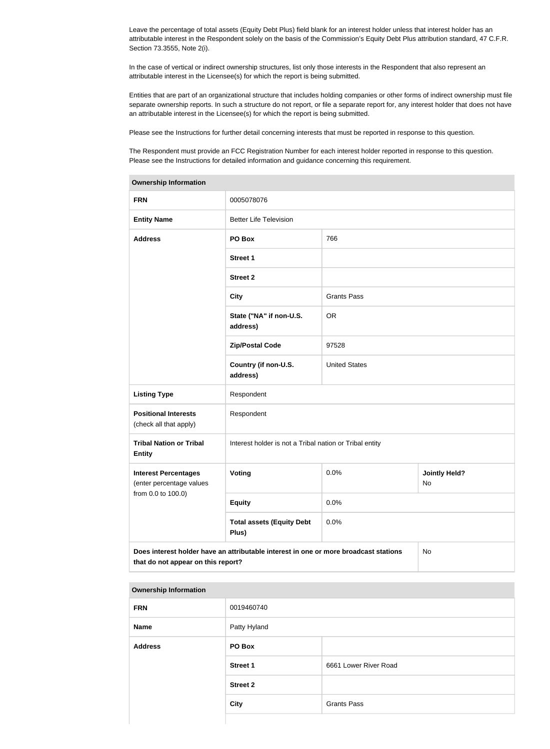Leave the percentage of total assets (Equity Debt Plus) field blank for an interest holder unless that interest holder has an attributable interest in the Respondent solely on the basis of the Commission's Equity Debt Plus attribution standard, 47 C.F.R. Section 73.3555, Note 2(i).

In the case of vertical or indirect ownership structures, list only those interests in the Respondent that also represent an attributable interest in the Licensee(s) for which the report is being submitted.

Entities that are part of an organizational structure that includes holding companies or other forms of indirect ownership must file separate ownership reports. In such a structure do not report, or file a separate report for, any interest holder that does not have an attributable interest in the Licensee(s) for which the report is being submitted.

Please see the Instructions for further detail concerning interests that must be reported in response to this question.

The Respondent must provide an FCC Registration Number for each interest holder reported in response to this question. Please see the Instructions for detailed information and guidance concerning this requirement.

| <b>Ownership Information</b>                            |                                                                                      |                      |                            |
|---------------------------------------------------------|--------------------------------------------------------------------------------------|----------------------|----------------------------|
| <b>FRN</b>                                              | 0005078076                                                                           |                      |                            |
| <b>Entity Name</b>                                      | <b>Better Life Television</b>                                                        |                      |                            |
| <b>Address</b>                                          | PO Box                                                                               | 766                  |                            |
|                                                         | <b>Street 1</b>                                                                      |                      |                            |
|                                                         | <b>Street 2</b>                                                                      |                      |                            |
|                                                         | <b>City</b>                                                                          | <b>Grants Pass</b>   |                            |
|                                                         | State ("NA" if non-U.S.<br>address)                                                  | <b>OR</b>            |                            |
|                                                         | <b>Zip/Postal Code</b>                                                               | 97528                |                            |
|                                                         | Country (if non-U.S.<br>address)                                                     | <b>United States</b> |                            |
| <b>Listing Type</b>                                     | Respondent                                                                           |                      |                            |
| <b>Positional Interests</b><br>(check all that apply)   | Respondent                                                                           |                      |                            |
| <b>Tribal Nation or Tribal</b><br><b>Entity</b>         | Interest holder is not a Tribal nation or Tribal entity                              |                      |                            |
| <b>Interest Percentages</b><br>(enter percentage values | Voting                                                                               | 0.0%                 | <b>Jointly Held?</b><br>No |
| from 0.0 to 100.0)                                      | <b>Equity</b>                                                                        | 0.0%                 |                            |
|                                                         | <b>Total assets (Equity Debt</b><br>Plus)                                            | 0.0%                 |                            |
| that do not appear on this report?                      | Does interest holder have an attributable interest in one or more broadcast stations |                      | No                         |

#### **Ownership Information**

| <b>FRN</b>     | 0019460740      |                       |
|----------------|-----------------|-----------------------|
| <b>Name</b>    | Patty Hyland    |                       |
| <b>Address</b> | PO Box          |                       |
|                | <b>Street 1</b> | 6661 Lower River Road |
|                | <b>Street 2</b> |                       |
|                | <b>City</b>     | <b>Grants Pass</b>    |
|                |                 |                       |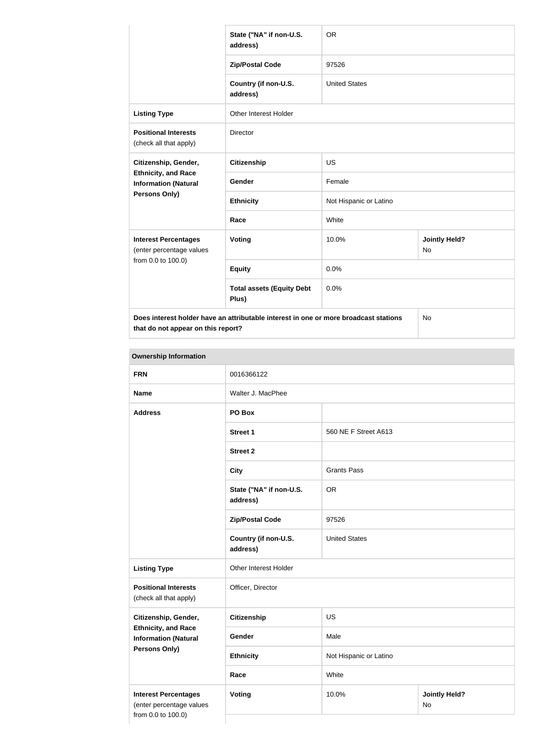|                                                                                      | State ("NA" if non-U.S.<br>address)       | <b>OR</b>              |                            |
|--------------------------------------------------------------------------------------|-------------------------------------------|------------------------|----------------------------|
|                                                                                      | <b>Zip/Postal Code</b>                    | 97526                  |                            |
|                                                                                      | Country (if non-U.S.<br>address)          | <b>United States</b>   |                            |
| <b>Listing Type</b>                                                                  | <b>Other Interest Holder</b>              |                        |                            |
| <b>Positional Interests</b><br>(check all that apply)                                | Director                                  |                        |                            |
| Citizenship, Gender,                                                                 | <b>Citizenship</b>                        | <b>US</b>              |                            |
| <b>Ethnicity, and Race</b><br><b>Information (Natural</b>                            | Gender                                    | Female                 |                            |
| Persons Only)                                                                        | <b>Ethnicity</b>                          | Not Hispanic or Latino |                            |
|                                                                                      | Race                                      | White                  |                            |
| <b>Interest Percentages</b><br>(enter percentage values<br>from 0.0 to 100.0)        | <b>Voting</b>                             | 10.0%                  | <b>Jointly Held?</b><br>No |
|                                                                                      | <b>Equity</b>                             | 0.0%                   |                            |
|                                                                                      | <b>Total assets (Equity Debt</b><br>Plus) | 0.0%                   |                            |
| Does interest holder have an attributable interest in one or more broadcast stations |                                           |                        | No                         |

| <b>FRN</b>                                                                    | 0016366122                          |                        |                            |
|-------------------------------------------------------------------------------|-------------------------------------|------------------------|----------------------------|
| <b>Name</b>                                                                   | Walter J. MacPhee                   |                        |                            |
| <b>Address</b>                                                                | PO Box                              |                        |                            |
|                                                                               | <b>Street 1</b>                     | 560 NE F Street A613   |                            |
|                                                                               | <b>Street 2</b>                     |                        |                            |
|                                                                               | <b>City</b>                         | <b>Grants Pass</b>     |                            |
|                                                                               | State ("NA" if non-U.S.<br>address) | <b>OR</b>              |                            |
|                                                                               | <b>Zip/Postal Code</b>              | 97526                  |                            |
|                                                                               | Country (if non-U.S.<br>address)    | <b>United States</b>   |                            |
| <b>Listing Type</b>                                                           | Other Interest Holder               |                        |                            |
| <b>Positional Interests</b><br>(check all that apply)                         | Officer, Director                   |                        |                            |
| Citizenship, Gender,                                                          | Citizenship                         | US                     |                            |
| <b>Ethnicity, and Race</b><br><b>Information (Natural</b>                     | Gender                              | Male                   |                            |
| <b>Persons Only)</b>                                                          | <b>Ethnicity</b>                    | Not Hispanic or Latino |                            |
|                                                                               | Race                                | White                  |                            |
| <b>Interest Percentages</b><br>(enter percentage values<br>from 0.0 to 100.0) | <b>Voting</b>                       | 10.0%                  | <b>Jointly Held?</b><br>No |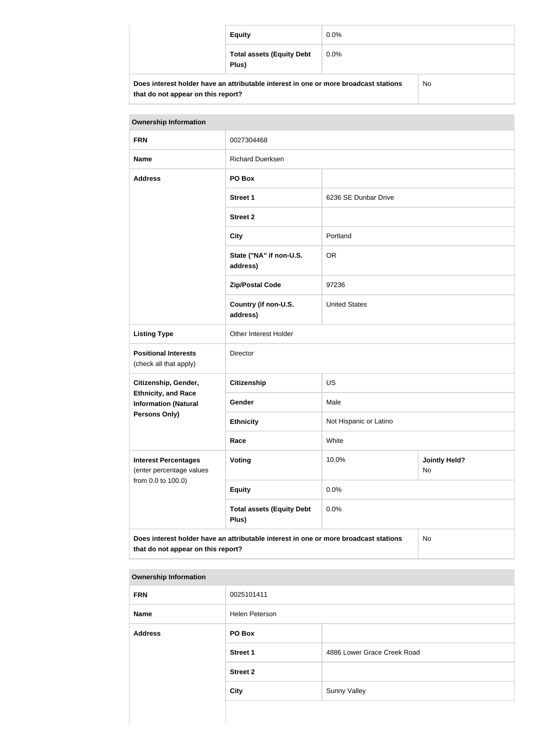|                                                                                            | <b>Equity</b>                             | $0.0\%$ |  |
|--------------------------------------------------------------------------------------------|-------------------------------------------|---------|--|
|                                                                                            | <b>Total assets (Equity Debt</b><br>Plus) | $0.0\%$ |  |
| Does interest holder have an attributable interest in one or more broadcast stations<br>No |                                           |         |  |

| <b>Ownership Information</b>                                                                                                     |                                           |                                     |  |
|----------------------------------------------------------------------------------------------------------------------------------|-------------------------------------------|-------------------------------------|--|
| <b>FRN</b>                                                                                                                       | 0027304468                                |                                     |  |
| <b>Name</b>                                                                                                                      | <b>Richard Duerksen</b>                   |                                     |  |
| <b>Address</b>                                                                                                                   | PO Box                                    |                                     |  |
|                                                                                                                                  | <b>Street 1</b>                           | 6236 SE Dunbar Drive                |  |
|                                                                                                                                  | <b>Street 2</b>                           |                                     |  |
|                                                                                                                                  | <b>City</b>                               | Portland                            |  |
|                                                                                                                                  | State ("NA" if non-U.S.<br>address)       | <b>OR</b>                           |  |
|                                                                                                                                  | <b>Zip/Postal Code</b>                    | 97236                               |  |
|                                                                                                                                  | Country (if non-U.S.<br>address)          | <b>United States</b>                |  |
| <b>Listing Type</b>                                                                                                              | Other Interest Holder                     |                                     |  |
| <b>Positional Interests</b><br>(check all that apply)                                                                            | Director                                  |                                     |  |
| Citizenship, Gender,                                                                                                             | <b>Citizenship</b>                        | <b>US</b>                           |  |
| <b>Ethnicity, and Race</b><br><b>Information (Natural</b>                                                                        | Gender                                    | Male                                |  |
| <b>Persons Only)</b>                                                                                                             | <b>Ethnicity</b>                          | Not Hispanic or Latino              |  |
|                                                                                                                                  | Race                                      | White                               |  |
| <b>Interest Percentages</b><br>(enter percentage values                                                                          | <b>Voting</b>                             | <b>Jointly Held?</b><br>10.0%<br>No |  |
| from 0.0 to 100.0)                                                                                                               | <b>Equity</b>                             | 0.0%                                |  |
|                                                                                                                                  | <b>Total assets (Equity Debt</b><br>Plus) | 0.0%                                |  |
| Does interest holder have an attributable interest in one or more broadcast stations<br>No<br>that do not appear on this report? |                                           |                                     |  |

#### **Ownership Information**

| <b>FRN</b>     | 0025101411      |                             |
|----------------|-----------------|-----------------------------|
| <b>Name</b>    | Helen Peterson  |                             |
| <b>Address</b> | PO Box          |                             |
|                | <b>Street 1</b> | 4886 Lower Grace Creek Road |
|                | <b>Street 2</b> |                             |
|                | <b>City</b>     | <b>Sunny Valley</b>         |
|                |                 |                             |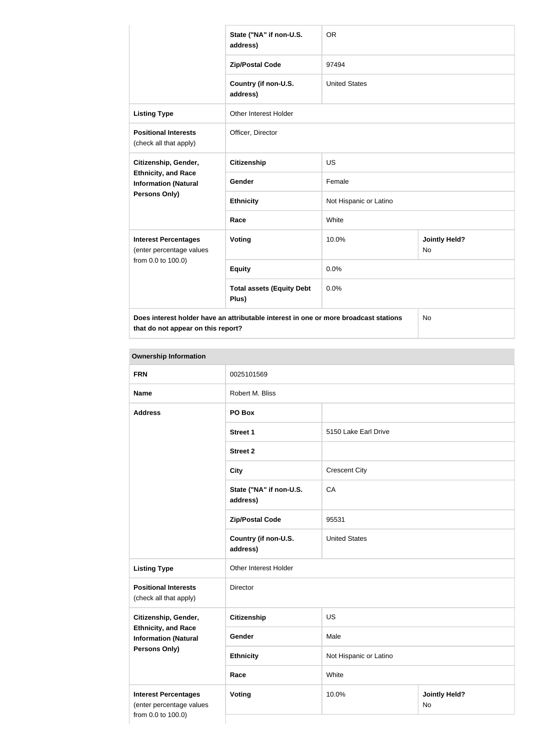|                                                                                      | State ("NA" if non-U.S.<br>address)       | <b>OR</b>              |                                   |
|--------------------------------------------------------------------------------------|-------------------------------------------|------------------------|-----------------------------------|
|                                                                                      | <b>Zip/Postal Code</b>                    | 97494                  |                                   |
|                                                                                      | Country (if non-U.S.<br>address)          | <b>United States</b>   |                                   |
| <b>Listing Type</b>                                                                  | <b>Other Interest Holder</b>              |                        |                                   |
| <b>Positional Interests</b><br>(check all that apply)                                | Officer, Director                         |                        |                                   |
| Citizenship, Gender,                                                                 | <b>Citizenship</b>                        | <b>US</b>              |                                   |
| <b>Ethnicity, and Race</b><br><b>Information (Natural</b>                            | Gender                                    | Female                 |                                   |
| Persons Only)                                                                        | <b>Ethnicity</b>                          | Not Hispanic or Latino |                                   |
|                                                                                      | Race                                      | White                  |                                   |
| <b>Interest Percentages</b><br>(enter percentage values<br>from 0.0 to 100.0)        | Voting                                    | 10.0%                  | <b>Jointly Held?</b><br><b>No</b> |
|                                                                                      | <b>Equity</b>                             | 0.0%                   |                                   |
|                                                                                      | <b>Total assets (Equity Debt</b><br>Plus) | 0.0%                   |                                   |
| Does interest holder have an attributable interest in one or more broadcast stations |                                           |                        | <b>No</b>                         |

**Ownership Information FRN** 0025101569 **Name** Robert M. Bliss **Address PO Box Street 1** 5150 Lake Earl Drive **Street 2 City Crescent City State ("NA" if non-U.S. address)** CA **Zip/Postal Code** 95531 **Country (if non-U.S. address)** United States **Listing Type Circuit Constructs** Other Interest Holder **Positional Interests** (check all that apply) Director **Citizenship, Gender, Ethnicity, and Race Information (Natural Persons Only) Citizenship** US Gender Male **Ethnicity** Not Hispanic or Latino **Race** White **Interest Percentages** (enter percentage values from 0.0 to 100.0) **Voting 10.0% / Voting 10.0% / Voting 10.0% / Voting 10.0% / Voting 10.0% / Voting 10.0% / Voting 10.0% / Voting 10.0% / Voting 10.0% / Voting 10.0% / Voting 10.0% / Voting 10.0% / Voting 10.0% / Voting 10.0% / Voting 10.0** No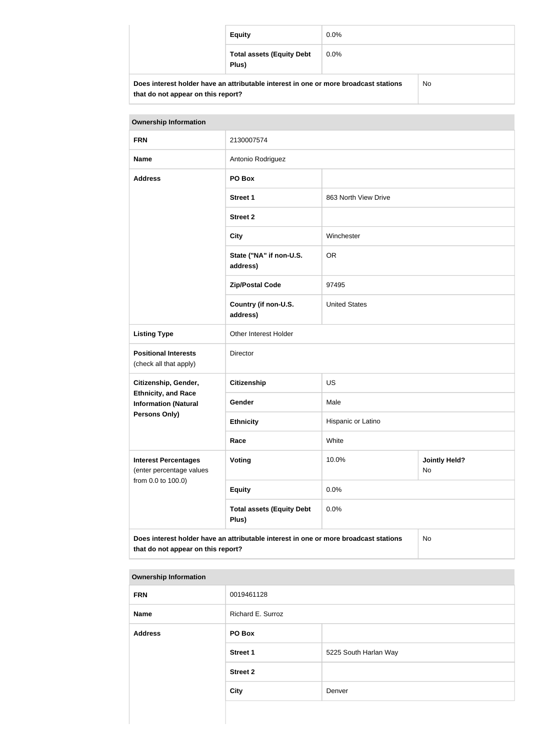|                                                                                            | <b>Equity</b>                             | $0.0\%$ |  |
|--------------------------------------------------------------------------------------------|-------------------------------------------|---------|--|
|                                                                                            | <b>Total assets (Equity Debt</b><br>Plus) | $0.0\%$ |  |
| Does interest holder have an attributable interest in one or more broadcast stations<br>No |                                           |         |  |

| <b>Ownership Information</b>                                                                                                     |                                           |                                     |  |
|----------------------------------------------------------------------------------------------------------------------------------|-------------------------------------------|-------------------------------------|--|
| <b>FRN</b>                                                                                                                       | 2130007574                                |                                     |  |
| <b>Name</b>                                                                                                                      | Antonio Rodriguez                         |                                     |  |
| <b>Address</b>                                                                                                                   | PO Box                                    |                                     |  |
|                                                                                                                                  | <b>Street 1</b>                           | 863 North View Drive                |  |
|                                                                                                                                  | <b>Street 2</b>                           |                                     |  |
|                                                                                                                                  | <b>City</b>                               | Winchester                          |  |
|                                                                                                                                  | State ("NA" if non-U.S.<br>address)       | <b>OR</b>                           |  |
|                                                                                                                                  | <b>Zip/Postal Code</b>                    | 97495                               |  |
|                                                                                                                                  | Country (if non-U.S.<br>address)          | <b>United States</b>                |  |
| <b>Listing Type</b>                                                                                                              | Other Interest Holder                     |                                     |  |
| <b>Positional Interests</b><br>(check all that apply)                                                                            | Director                                  |                                     |  |
| Citizenship, Gender,                                                                                                             | Citizenship                               | <b>US</b>                           |  |
| <b>Ethnicity, and Race</b><br><b>Information (Natural</b>                                                                        | Gender                                    | Male                                |  |
| <b>Persons Only)</b>                                                                                                             | <b>Ethnicity</b>                          | Hispanic or Latino                  |  |
|                                                                                                                                  | Race                                      | White                               |  |
| <b>Interest Percentages</b><br>(enter percentage values                                                                          | <b>Voting</b>                             | 10.0%<br><b>Jointly Held?</b><br>No |  |
| from 0.0 to 100.0)                                                                                                               | <b>Equity</b>                             | 0.0%                                |  |
|                                                                                                                                  | <b>Total assets (Equity Debt</b><br>Plus) | 0.0%                                |  |
| Does interest holder have an attributable interest in one or more broadcast stations<br>No<br>that do not appear on this report? |                                           |                                     |  |

#### **Ownership Information**

| <b>FRN</b>     | 0019461128        |                       |
|----------------|-------------------|-----------------------|
| Name           | Richard E. Surroz |                       |
| <b>Address</b> | <b>PO Box</b>     |                       |
|                | <b>Street 1</b>   | 5225 South Harlan Way |
|                | <b>Street 2</b>   |                       |
|                | <b>City</b>       | Denver                |
|                |                   |                       |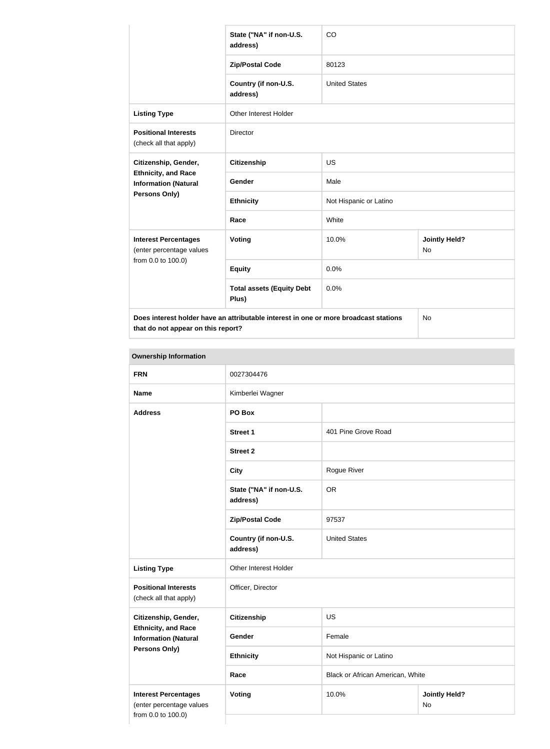|                                                           | State ("NA" if non-U.S.<br>address)                                                  | CO                     |                            |
|-----------------------------------------------------------|--------------------------------------------------------------------------------------|------------------------|----------------------------|
|                                                           | <b>Zip/Postal Code</b>                                                               | 80123                  |                            |
|                                                           | Country (if non-U.S.<br>address)                                                     | <b>United States</b>   |                            |
| <b>Listing Type</b>                                       | <b>Other Interest Holder</b>                                                         |                        |                            |
| <b>Positional Interests</b><br>(check all that apply)     | Director                                                                             |                        |                            |
| Citizenship, Gender,                                      | <b>Citizenship</b>                                                                   | US                     |                            |
| <b>Ethnicity, and Race</b><br><b>Information (Natural</b> | Gender                                                                               | Male                   |                            |
| Persons Only)                                             | <b>Ethnicity</b>                                                                     | Not Hispanic or Latino |                            |
|                                                           | Race                                                                                 | White                  |                            |
| <b>Interest Percentages</b><br>(enter percentage values   | <b>Voting</b>                                                                        | 10.0%                  | <b>Jointly Held?</b><br>No |
| from 0.0 to 100.0)                                        | <b>Equity</b>                                                                        | 0.0%                   |                            |
|                                                           | <b>Total assets (Equity Debt</b><br>Plus)                                            | 0.0%                   |                            |
|                                                           | Does interest holder have an attributable interest in one or more broadcast stations |                        | No                         |

| <b>FRN</b>                                                                    | 0027304476                          |                                  |                            |
|-------------------------------------------------------------------------------|-------------------------------------|----------------------------------|----------------------------|
| <b>Name</b>                                                                   | Kimberlei Wagner                    |                                  |                            |
| <b>Address</b>                                                                | PO Box                              |                                  |                            |
|                                                                               | Street 1                            | 401 Pine Grove Road              |                            |
|                                                                               | <b>Street 2</b>                     |                                  |                            |
|                                                                               | <b>City</b>                         | Rogue River                      |                            |
|                                                                               | State ("NA" if non-U.S.<br>address) | <b>OR</b>                        |                            |
|                                                                               | <b>Zip/Postal Code</b>              | 97537                            |                            |
|                                                                               | Country (if non-U.S.<br>address)    | <b>United States</b>             |                            |
| <b>Listing Type</b>                                                           | Other Interest Holder               |                                  |                            |
| <b>Positional Interests</b><br>(check all that apply)                         | Officer, Director                   |                                  |                            |
| Citizenship, Gender,                                                          | <b>Citizenship</b>                  | <b>US</b>                        |                            |
| <b>Ethnicity, and Race</b><br><b>Information (Natural</b>                     | Gender                              | Female                           |                            |
| <b>Persons Only)</b>                                                          | <b>Ethnicity</b>                    | Not Hispanic or Latino           |                            |
|                                                                               | Race                                | Black or African American, White |                            |
| <b>Interest Percentages</b><br>(enter percentage values<br>from 0.0 to 100.0) | <b>Voting</b>                       | 10.0%                            | <b>Jointly Held?</b><br>No |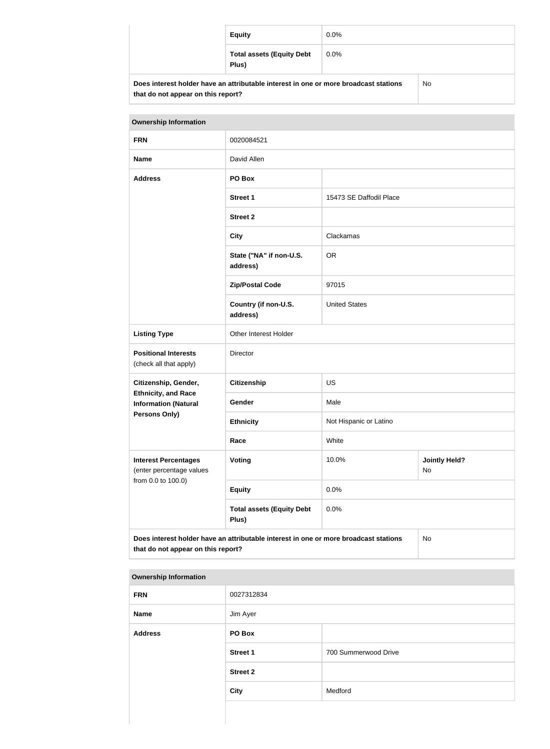|                                                                                      | <b>Equity</b>                             | $0.0\%$ |  |
|--------------------------------------------------------------------------------------|-------------------------------------------|---------|--|
|                                                                                      | <b>Total assets (Equity Debt</b><br>Plus) | $0.0\%$ |  |
| Does interest holder have an attributable interest in one or more broadcast stations |                                           | No      |  |

| <b>Ownership Information</b>                                                                                                     |                                           |                         |                            |
|----------------------------------------------------------------------------------------------------------------------------------|-------------------------------------------|-------------------------|----------------------------|
| <b>FRN</b>                                                                                                                       | 0020084521                                |                         |                            |
| <b>Name</b>                                                                                                                      | David Allen                               |                         |                            |
| <b>Address</b>                                                                                                                   | PO Box                                    |                         |                            |
|                                                                                                                                  | <b>Street 1</b>                           | 15473 SE Daffodil Place |                            |
|                                                                                                                                  | <b>Street 2</b>                           |                         |                            |
|                                                                                                                                  | <b>City</b>                               | Clackamas               |                            |
|                                                                                                                                  | State ("NA" if non-U.S.<br>address)       | <b>OR</b>               |                            |
|                                                                                                                                  | <b>Zip/Postal Code</b><br>97015           |                         |                            |
|                                                                                                                                  | Country (if non-U.S.<br>address)          | <b>United States</b>    |                            |
| <b>Listing Type</b>                                                                                                              | Other Interest Holder                     |                         |                            |
| <b>Positional Interests</b><br>(check all that apply)                                                                            | Director                                  |                         |                            |
| Citizenship, Gender,                                                                                                             | <b>Citizenship</b><br><b>US</b>           |                         |                            |
| <b>Ethnicity, and Race</b><br><b>Information (Natural</b>                                                                        | Gender                                    | Male                    |                            |
| <b>Persons Only)</b>                                                                                                             | <b>Ethnicity</b>                          | Not Hispanic or Latino  |                            |
|                                                                                                                                  | Race                                      | White                   |                            |
| <b>Interest Percentages</b><br>(enter percentage values                                                                          | <b>Voting</b>                             | 10.0%                   | <b>Jointly Held?</b><br>No |
| from 0.0 to 100.0)                                                                                                               | <b>Equity</b>                             | 0.0%                    |                            |
|                                                                                                                                  | <b>Total assets (Equity Debt</b><br>Plus) | 0.0%                    |                            |
| Does interest holder have an attributable interest in one or more broadcast stations<br>No<br>that do not appear on this report? |                                           |                         |                            |

#### **Ownership Information**

| <b>FRN</b>     | 0027312834      |                      |
|----------------|-----------------|----------------------|
| Name           | Jim Ayer        |                      |
| <b>Address</b> | PO Box          |                      |
|                | <b>Street 1</b> | 700 Summerwood Drive |
|                | <b>Street 2</b> |                      |
|                | <b>City</b>     | Medford              |
|                |                 |                      |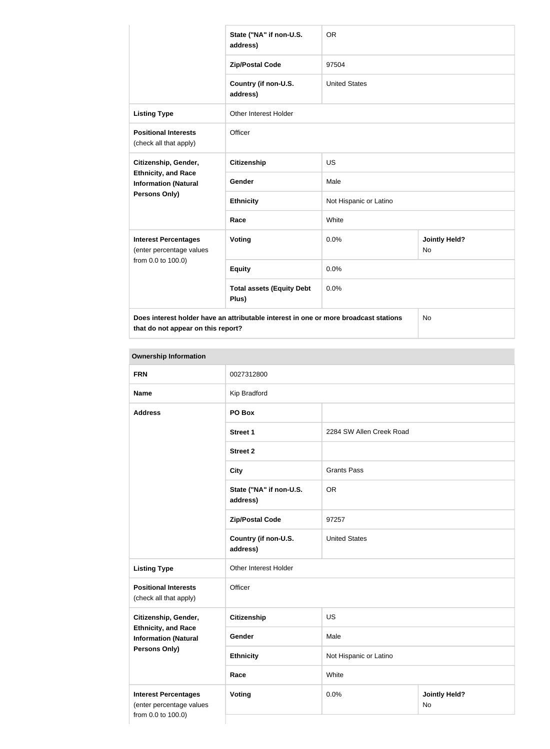|                                                           | State ("NA" if non-U.S.<br>address)                                                  | <b>OR</b>              |                                   |
|-----------------------------------------------------------|--------------------------------------------------------------------------------------|------------------------|-----------------------------------|
|                                                           | <b>Zip/Postal Code</b>                                                               | 97504                  |                                   |
|                                                           | Country (if non-U.S.<br>address)                                                     | <b>United States</b>   |                                   |
| <b>Listing Type</b>                                       | <b>Other Interest Holder</b>                                                         |                        |                                   |
| <b>Positional Interests</b><br>(check all that apply)     | Officer                                                                              |                        |                                   |
| Citizenship, Gender,                                      | <b>Citizenship</b>                                                                   | <b>US</b>              |                                   |
| <b>Ethnicity, and Race</b><br><b>Information (Natural</b> | <b>Gender</b>                                                                        | Male                   |                                   |
| <b>Persons Only)</b>                                      | <b>Ethnicity</b>                                                                     | Not Hispanic or Latino |                                   |
|                                                           | Race                                                                                 | White                  |                                   |
| <b>Interest Percentages</b><br>(enter percentage values   | Voting                                                                               | 0.0%                   | <b>Jointly Held?</b><br><b>No</b> |
| from 0.0 to 100.0)                                        | <b>Equity</b>                                                                        | 0.0%                   |                                   |
|                                                           | <b>Total assets (Equity Debt</b><br>Plus)                                            | 0.0%                   |                                   |
|                                                           | Does interest holder have an attributable interest in one or more broadcast stations |                        | <b>No</b>                         |

| <b>FRN</b>                                                                    | 0027312800                          |                          |                            |
|-------------------------------------------------------------------------------|-------------------------------------|--------------------------|----------------------------|
| <b>Name</b>                                                                   | Kip Bradford                        |                          |                            |
| <b>Address</b>                                                                | PO Box                              |                          |                            |
|                                                                               | <b>Street 1</b>                     | 2284 SW Allen Creek Road |                            |
|                                                                               | <b>Street 2</b>                     |                          |                            |
|                                                                               | <b>City</b>                         | <b>Grants Pass</b>       |                            |
|                                                                               | State ("NA" if non-U.S.<br>address) | <b>OR</b>                |                            |
|                                                                               | <b>Zip/Postal Code</b>              | 97257                    |                            |
|                                                                               | Country (if non-U.S.<br>address)    | <b>United States</b>     |                            |
| <b>Listing Type</b>                                                           | Other Interest Holder               |                          |                            |
| <b>Positional Interests</b><br>(check all that apply)                         | Officer                             |                          |                            |
| Citizenship, Gender,                                                          | <b>Citizenship</b>                  | <b>US</b>                |                            |
| <b>Ethnicity, and Race</b><br><b>Information (Natural</b>                     | Gender                              | Male                     |                            |
| Persons Only)                                                                 | <b>Ethnicity</b>                    | Not Hispanic or Latino   |                            |
|                                                                               | Race                                | White                    |                            |
| <b>Interest Percentages</b><br>(enter percentage values<br>from 0.0 to 100.0) | <b>Voting</b>                       | 0.0%                     | <b>Jointly Held?</b><br>No |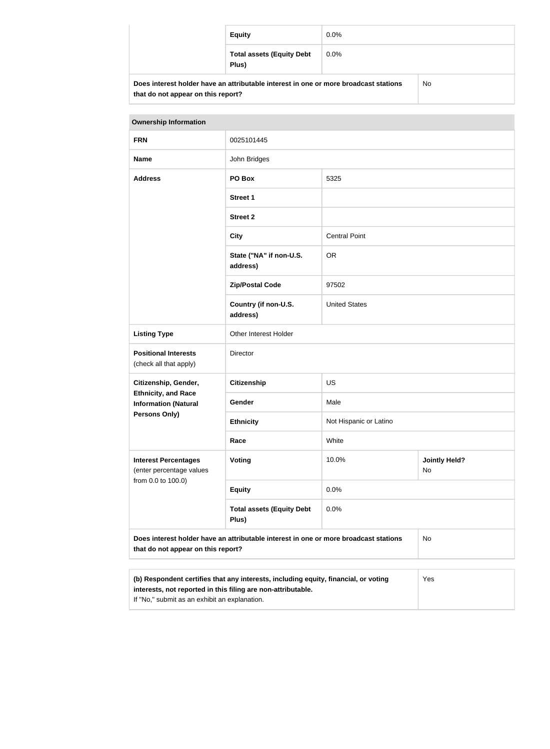| <b>Equity</b>                                                                        | $0.0\%$ |    |
|--------------------------------------------------------------------------------------|---------|----|
| <b>Total assets (Equity Debt</b><br>Plus)                                            | $0.0\%$ |    |
| Does interest holder have an attributable interest in one or more broadcast stations |         | No |

| <u>DUES INCRESTIQUE NAVE AN AUNUMENTE INCRESTING UN INCREDIT DI DAUGAS ESCUDIS</u> |  |
|------------------------------------------------------------------------------------|--|
| that do not appear on this report?                                                 |  |

| <b>Ownership Information</b>                                                                                                                               |                                                                                      |                        |                            |
|------------------------------------------------------------------------------------------------------------------------------------------------------------|--------------------------------------------------------------------------------------|------------------------|----------------------------|
| <b>FRN</b>                                                                                                                                                 | 0025101445                                                                           |                        |                            |
| <b>Name</b>                                                                                                                                                | John Bridges                                                                         |                        |                            |
| <b>Address</b>                                                                                                                                             | PO Box<br>5325                                                                       |                        |                            |
|                                                                                                                                                            | <b>Street 1</b>                                                                      |                        |                            |
|                                                                                                                                                            | <b>Street 2</b>                                                                      |                        |                            |
|                                                                                                                                                            | <b>City</b>                                                                          | <b>Central Point</b>   |                            |
|                                                                                                                                                            | State ("NA" if non-U.S.<br>address)                                                  | <b>OR</b>              |                            |
|                                                                                                                                                            | <b>Zip/Postal Code</b>                                                               | 97502                  |                            |
|                                                                                                                                                            | Country (if non-U.S.<br>address)                                                     | <b>United States</b>   |                            |
| <b>Listing Type</b>                                                                                                                                        | Other Interest Holder                                                                |                        |                            |
| <b>Positional Interests</b><br>(check all that apply)                                                                                                      | <b>Director</b>                                                                      |                        |                            |
| Citizenship, Gender,                                                                                                                                       | <b>Citizenship</b>                                                                   | <b>US</b>              |                            |
| <b>Ethnicity, and Race</b><br><b>Information (Natural</b>                                                                                                  | Gender                                                                               | Male                   |                            |
| Persons Only)                                                                                                                                              | <b>Ethnicity</b>                                                                     | Not Hispanic or Latino |                            |
|                                                                                                                                                            | Race                                                                                 | White                  |                            |
| <b>Interest Percentages</b><br>(enter percentage values                                                                                                    | <b>Voting</b>                                                                        | 10.0%                  | <b>Jointly Held?</b><br>No |
| from 0.0 to 100.0)                                                                                                                                         | <b>Equity</b>                                                                        | 0.0%                   |                            |
|                                                                                                                                                            | <b>Total assets (Equity Debt</b><br>Plus)                                            | 0.0%                   |                            |
| that do not appear on this report?                                                                                                                         | Does interest holder have an attributable interest in one or more broadcast stations |                        | <b>No</b>                  |
|                                                                                                                                                            |                                                                                      |                        |                            |
| (b) Respondent certifies that any interests, including equity, financial, or voting<br>Yes<br>interests, not reported in this filing are non-attributable. |                                                                                      |                        |                            |

If "No," submit as an exhibit an explanation.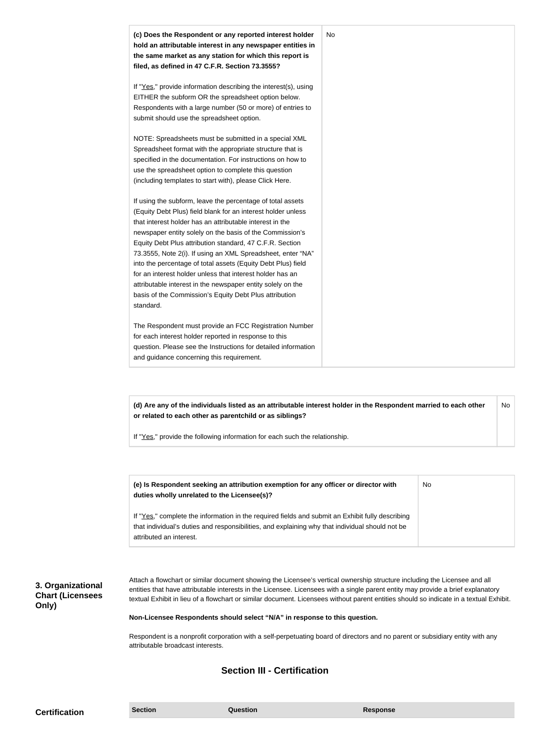

**(d) Are any of the individuals listed as an attributable interest holder in the Respondent married to each other or related to each other as parentchild or as siblings?** No

If "Yes," provide the following information for each such the relationship.

| (e) Is Respondent seeking an attribution exemption for any officer or director with<br>duties wholly unrelated to the Licensee(s)?                                                                                             | No |
|--------------------------------------------------------------------------------------------------------------------------------------------------------------------------------------------------------------------------------|----|
| If "Yes," complete the information in the required fields and submit an Exhibit fully describing<br>that individual's duties and responsibilities, and explaining why that individual should not be<br>attributed an interest. |    |

**3. Organizational Chart (Licensees Only)**

Attach a flowchart or similar document showing the Licensee's vertical ownership structure including the Licensee and all entities that have attributable interests in the Licensee. Licensees with a single parent entity may provide a brief explanatory textual Exhibit in lieu of a flowchart or similar document. Licensees without parent entities should so indicate in a textual Exhibit.

#### **Non-Licensee Respondents should select "N/A" in response to this question.**

Respondent is a nonprofit corporation with a self-perpetuating board of directors and no parent or subsidiary entity with any attributable broadcast interests.

#### **Section III - Certification**